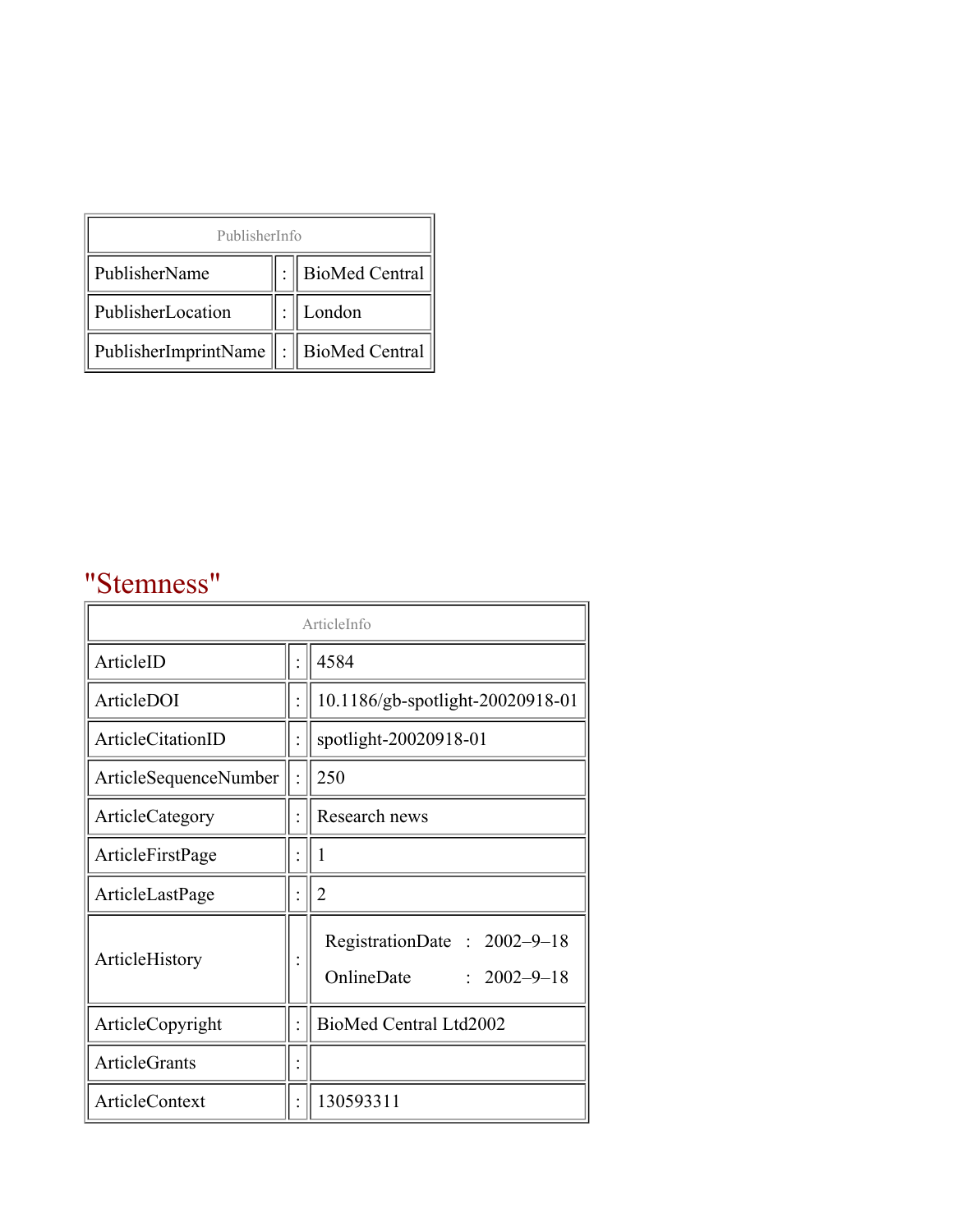| PublisherInfo                              |  |                    |  |  |
|--------------------------------------------|--|--------------------|--|--|
| PublisherName                              |  | :   BioMed Central |  |  |
| PublisherLocation                          |  | London             |  |  |
| PublisherImprintName   :    BioMed Central |  |                    |  |  |

## "Stemness"

| ArticleInfo            |  |                                                                |
|------------------------|--|----------------------------------------------------------------|
| ArticleID              |  | 4584                                                           |
| ArticleDOI             |  | 10.1186/gb-spotlight-20020918-01                               |
| ArticleCitationID      |  | spotlight-20020918-01                                          |
| ArticleSequenceNumber  |  | 250                                                            |
| <b>ArticleCategory</b> |  | Research news                                                  |
| ArticleFirstPage       |  | 1                                                              |
| ArticleLastPage        |  | 2                                                              |
| ArticleHistory         |  | RegistrationDate: 2002-9-18<br>OnlineDate<br>$: 2002 - 9 - 18$ |
| ArticleCopyright       |  | BioMed Central Ltd2002                                         |
| ArticleGrants          |  |                                                                |
| <b>ArticleContext</b>  |  | 130593311                                                      |